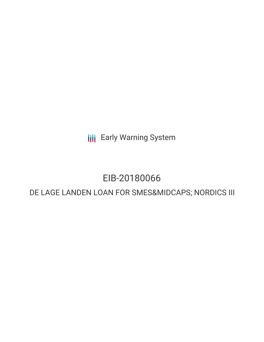**III** Early Warning System

# EIB-20180066

## DE LAGE LANDEN LOAN FOR SMES&MIDCAPS; NORDICS III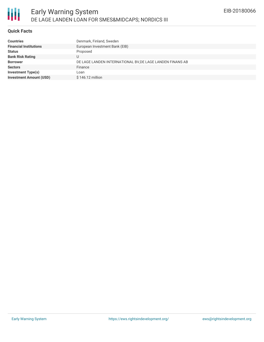## **Quick Facts**

| Denmark, Finland, Sweden                                  |
|-----------------------------------------------------------|
| European Investment Bank (EIB)                            |
| Proposed                                                  |
|                                                           |
| DE LAGE LANDEN INTERNATIONAL BV, DE LAGE LANDEN FINANS AB |
| Finance                                                   |
|                                                           |
| \$146.12 million                                          |
|                                                           |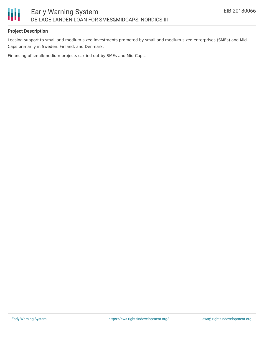

## **Project Description**

Leasing support to small and medium-sized investments promoted by small and medium-sized enterprises (SMEs) and Mid-Caps primarily in Sweden, Finland, and Denmark.

Financing of small/medium projects carried out by SMEs and Mid-Caps.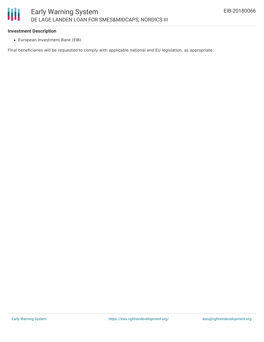#### **Investment Description**

European Investment Bank (EIB)

Final beneficiaries will be requested to comply with applicable national and EU legislation, as appropriate.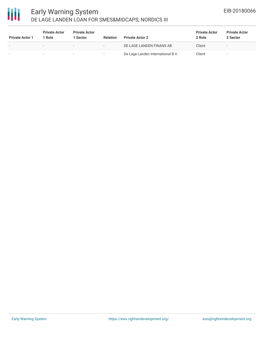

## Early Warning System DE LAGE LANDEN LOAN FOR SMES&MIDCAPS; NORDICS III

| <b>Private Actor 1</b> | <b>Private Actor</b><br>Role | <b>Private Actor</b><br>1 Sector | <b>Relation</b> | <b>Private Actor 2</b>            | <b>Private Actor</b><br>2 Role | <b>Private Actor</b><br>2 Sector |
|------------------------|------------------------------|----------------------------------|-----------------|-----------------------------------|--------------------------------|----------------------------------|
|                        | $\overline{\phantom{a}}$     | $\overline{\phantom{a}}$         | -               | DE LAGE LANDEN FINANS AB          | Client                         | $\overline{\phantom{0}}$         |
|                        | $\overline{\phantom{a}}$     | $\overline{\phantom{a}}$         |                 | De Lage Landen International B.V. | Client                         | $\overline{\phantom{0}}$         |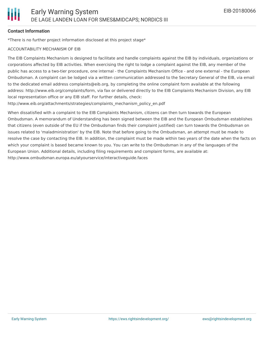## **Contact Information**

\*There is no further project information disclosed at this project stage\*

### ACCOUNTABILITY MECHANISM OF EIB

The EIB Complaints Mechanism is designed to facilitate and handle complaints against the EIB by individuals, organizations or corporations affected by EIB activities. When exercising the right to lodge a complaint against the EIB, any member of the public has access to a two-tier procedure, one internal - the Complaints Mechanism Office - and one external - the European Ombudsman. A complaint can be lodged via a written communication addressed to the Secretary General of the EIB, via email to the dedicated email address complaints@eib.org, by completing the online complaint form available at the following address: http://www.eib.org/complaints/form, via fax or delivered directly to the EIB Complaints Mechanism Division, any EIB local representation office or any EIB staff. For further details, check:

http://www.eib.org/attachments/strategies/complaints\_mechanism\_policy\_en.pdf

When dissatisfied with a complaint to the EIB Complaints Mechanism, citizens can then turn towards the European Ombudsman. A memorandum of Understanding has been signed between the EIB and the European Ombudsman establishes that citizens (even outside of the EU if the Ombudsman finds their complaint justified) can turn towards the Ombudsman on issues related to 'maladministration' by the EIB. Note that before going to the Ombudsman, an attempt must be made to resolve the case by contacting the EIB. In addition, the complaint must be made within two years of the date when the facts on which your complaint is based became known to you. You can write to the Ombudsman in any of the languages of the European Union. Additional details, including filing requirements and complaint forms, are available at: http://www.ombudsman.europa.eu/atyourservice/interactiveguide.faces